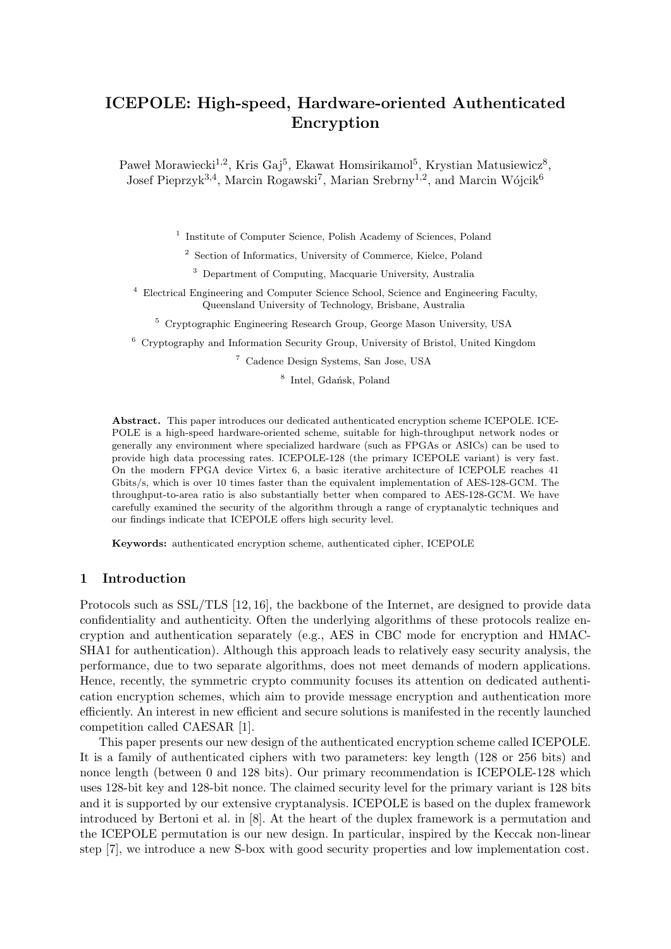# ICEPOLE: High-speed, Hardware-oriented Authenticated Encryption

Paweł Morawiecki<sup>1,2</sup>, Kris Gaj<sup>5</sup>, Ekawat Homsirikamol<sup>5</sup>, Krystian Matusiewicz<sup>8</sup>, Josef Pieprzyk<sup>3,4</sup>, Marcin Rogawski<sup>7</sup>, Marian Srebrny<sup>1,2</sup>, and Marcin Wójcik<sup>6</sup>

<sup>1</sup> Institute of Computer Science, Polish Academy of Sciences, Poland

<sup>2</sup> Section of Informatics, University of Commerce, Kielce, Poland

<sup>3</sup> Department of Computing, Macquarie University, Australia

<sup>4</sup> Electrical Engineering and Computer Science School, Science and Engineering Faculty, Queensland University of Technology, Brisbane, Australia

<sup>5</sup> Cryptographic Engineering Research Group, George Mason University, USA

<sup>6</sup> Cryptography and Information Security Group, University of Bristol, United Kingdom

<sup>7</sup> Cadence Design Systems, San Jose, USA

<sup>8</sup> Intel, Gdańsk, Poland

Abstract. This paper introduces our dedicated authenticated encryption scheme ICEPOLE. ICE-POLE is a high-speed hardware-oriented scheme, suitable for high-throughput network nodes or generally any environment where specialized hardware (such as FPGAs or ASICs) can be used to provide high data processing rates. ICEPOLE-128 (the primary ICEPOLE variant) is very fast. On the modern FPGA device Virtex 6, a basic iterative architecture of ICEPOLE reaches 41 Gbits/s, which is over 10 times faster than the equivalent implementation of AES-128-GCM. The throughput-to-area ratio is also substantially better when compared to AES-128-GCM. We have carefully examined the security of the algorithm through a range of cryptanalytic techniques and our findings indicate that ICEPOLE offers high security level.

Keywords: authenticated encryption scheme, authenticated cipher, ICEPOLE

#### 1 Introduction

Protocols such as SSL/TLS [12, 16], the backbone of the Internet, are designed to provide data confidentiality and authenticity. Often the underlying algorithms of these protocols realize encryption and authentication separately (e.g., AES in CBC mode for encryption and HMAC-SHA1 for authentication). Although this approach leads to relatively easy security analysis, the performance, due to two separate algorithms, does not meet demands of modern applications. Hence, recently, the symmetric crypto community focuses its attention on dedicated authentication encryption schemes, which aim to provide message encryption and authentication more efficiently. An interest in new efficient and secure solutions is manifested in the recently launched competition called CAESAR [1].

This paper presents our new design of the authenticated encryption scheme called ICEPOLE. It is a family of authenticated ciphers with two parameters: key length (128 or 256 bits) and nonce length (between 0 and 128 bits). Our primary recommendation is ICEPOLE-128 which uses 128-bit key and 128-bit nonce. The claimed security level for the primary variant is 128 bits and it is supported by our extensive cryptanalysis. ICEPOLE is based on the duplex framework introduced by Bertoni et al. in [8]. At the heart of the duplex framework is a permutation and the ICEPOLE permutation is our new design. In particular, inspired by the Keccak non-linear step [7], we introduce a new S-box with good security properties and low implementation cost.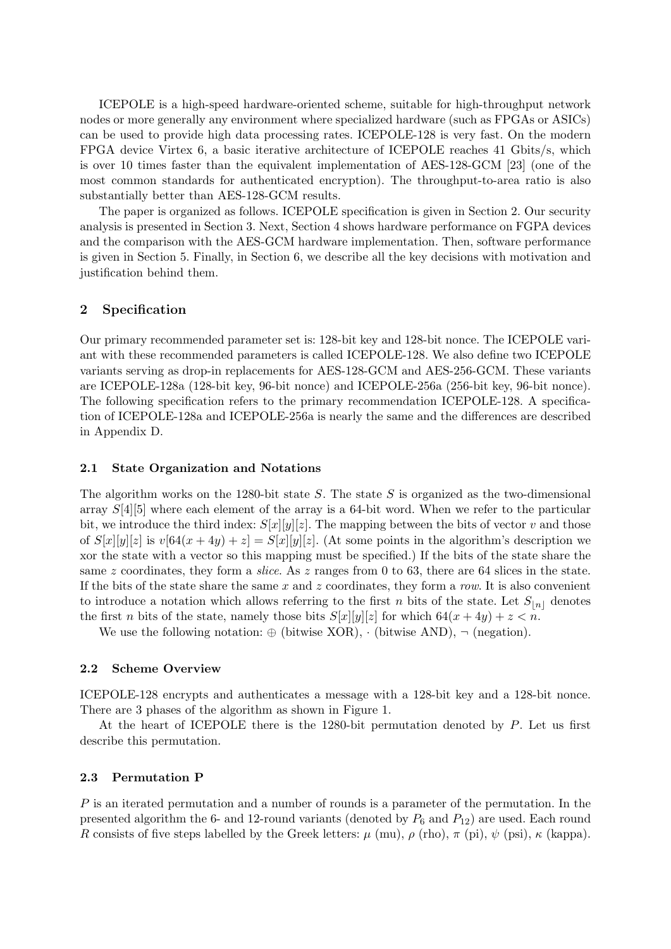ICEPOLE is a high-speed hardware-oriented scheme, suitable for high-throughput network nodes or more generally any environment where specialized hardware (such as FPGAs or ASICs) can be used to provide high data processing rates. ICEPOLE-128 is very fast. On the modern FPGA device Virtex 6, a basic iterative architecture of ICEPOLE reaches 41 Gbits/s, which is over 10 times faster than the equivalent implementation of AES-128-GCM [23] (one of the most common standards for authenticated encryption). The throughput-to-area ratio is also substantially better than AES-128-GCM results.

The paper is organized as follows. ICEPOLE specification is given in Section 2. Our security analysis is presented in Section 3. Next, Section 4 shows hardware performance on FGPA devices and the comparison with the AES-GCM hardware implementation. Then, software performance is given in Section 5. Finally, in Section 6, we describe all the key decisions with motivation and justification behind them.

### 2 Specification

Our primary recommended parameter set is: 128-bit key and 128-bit nonce. The ICEPOLE variant with these recommended parameters is called ICEPOLE-128. We also define two ICEPOLE variants serving as drop-in replacements for AES-128-GCM and AES-256-GCM. These variants are ICEPOLE-128a (128-bit key, 96-bit nonce) and ICEPOLE-256a (256-bit key, 96-bit nonce). The following specification refers to the primary recommendation ICEPOLE-128. A specification of ICEPOLE-128a and ICEPOLE-256a is nearly the same and the differences are described in Appendix D.

#### 2.1 State Organization and Notations

The algorithm works on the 1280-bit state S. The state S is organized as the two-dimensional array S[4][5] where each element of the array is a 64-bit word. When we refer to the particular bit, we introduce the third index:  $S[x][y][z]$ . The mapping between the bits of vector v and those of  $S[x][y][z]$  is  $v[64(x+4y)+z] = S[x][y][z]$ . (At some points in the algorithm's description we xor the state with a vector so this mapping must be specified.) If the bits of the state share the same z coordinates, they form a *slice*. As z ranges from 0 to 63, there are 64 slices in the state. If the bits of the state share the same  $x$  and  $z$  coordinates, they form a row. It is also convenient to introduce a notation which allows referring to the first n bits of the state. Let  $S_{[n]}$  denotes the first *n* bits of the state, namely those bits  $S[x][y][z]$  for which  $64(x + 4y) + z < n$ .

We use the following notation:  $\oplus$  (bitwise XOR),  $\cdot$  (bitwise AND),  $\neg$  (negation).

#### 2.2 Scheme Overview

ICEPOLE-128 encrypts and authenticates a message with a 128-bit key and a 128-bit nonce. There are 3 phases of the algorithm as shown in Figure 1.

At the heart of ICEPOLE there is the 1280-bit permutation denoted by  $P$ . Let us first describe this permutation.

#### 2.3 Permutation P

P is an iterated permutation and a number of rounds is a parameter of the permutation. In the presented algorithm the 6- and 12-round variants (denoted by  $P_6$  and  $P_{12}$ ) are used. Each round R consists of five steps labelled by the Greek letters:  $\mu$  (mu),  $\rho$  (rho),  $\pi$  (pi),  $\psi$  (psi),  $\kappa$  (kappa).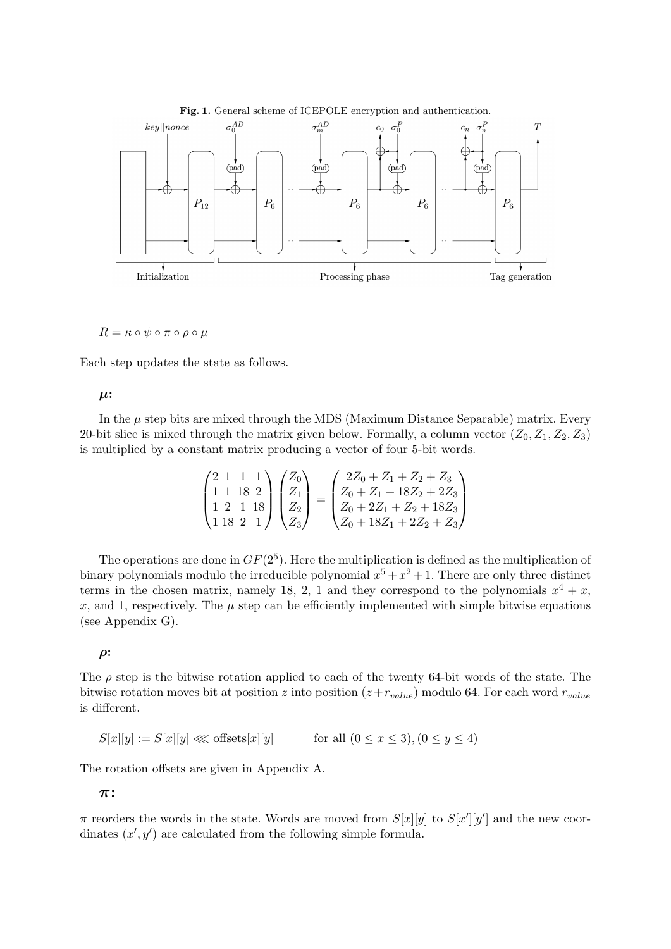

 $R = \kappa \circ \psi \circ \pi \circ \rho \circ \mu$ 

Each step updates the state as follows.

 $\mu$ :

In the  $\mu$  step bits are mixed through the MDS (Maximum Distance Separable) matrix. Every 20-bit slice is mixed through the matrix given below. Formally, a column vector  $(Z_0, Z_1, Z_2, Z_3)$ is multiplied by a constant matrix producing a vector of four 5-bit words.

$$
\begin{pmatrix} 2 & 1 & 1 & 1 \ 1 & 1 & 8 & 2 \ 1 & 2 & 1 & 18 \ 18 & 2 & 1 \ \end{pmatrix} \begin{pmatrix} Z_0 \ Z_1 \ Z_2 \ Z_3 \end{pmatrix} = \begin{pmatrix} 2Z_0 + Z_1 + Z_2 + Z_3 \ Z_0 + Z_1 + 18Z_2 + 2Z_3 \ Z_0 + 2Z_1 + Z_2 + 18Z_3 \ Z_0 + 18Z_1 + 2Z_2 + Z_3 \end{pmatrix}
$$

The operations are done in  $GF(2^5)$ . Here the multiplication is defined as the multiplication of binary polynomials modulo the irreducible polynomial  $x^5 + x^2 + 1$ . There are only three distinct terms in the chosen matrix, namely 18, 2, 1 and they correspond to the polynomials  $x^4 + x$ , x, and 1, respectively. The  $\mu$  step can be efficiently implemented with simple bitwise equations (see Appendix G).

 $\rho$ :

The  $\rho$  step is the bitwise rotation applied to each of the twenty 64-bit words of the state. The bitwise rotation moves bit at position z into position  $(z+r_{value})$  modulo 64. For each word  $r_{value}$ is different.

 $S[x][y] := S[x][y] \ll \text{offsets}[x][y]$  for all  $(0 \le x \le 3), (0 \le y \le 4)$ 

The rotation offsets are given in Appendix A.

π:

 $\pi$  reorders the words in the state. Words are moved from  $S[x][y]$  to  $S[x'][y']$  and the new coordinates  $(x', y')$  are calculated from the following simple formula.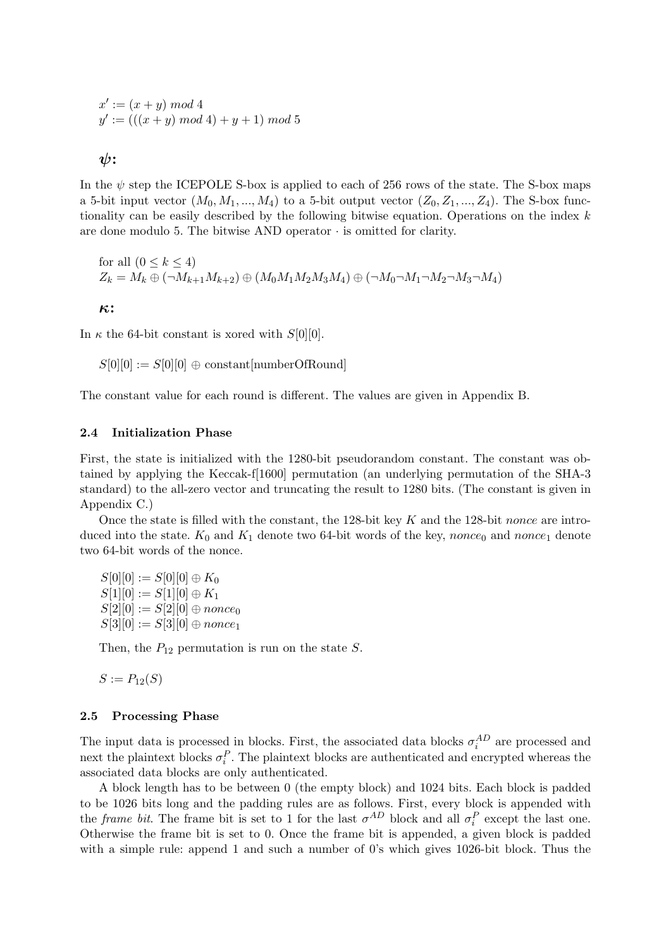$$
x' := (x + y) \mod 4
$$
  

$$
y' := (((x + y) \mod 4) + y + 1) \mod 5
$$

 $\psi$ :

In the  $\psi$  step the ICEPOLE S-box is applied to each of 256 rows of the state. The S-box maps a 5-bit input vector  $(M_0, M_1, ..., M_4)$  to a 5-bit output vector  $(Z_0, Z_1, ..., Z_4)$ . The S-box functionality can be easily described by the following bitwise equation. Operations on the index  $k$ are done modulo 5. The bitwise AND operator  $\cdot$  is omitted for clarity.

for all 
$$
(0 \le k \le 4)
$$
  
\n $Z_k = M_k \oplus (\neg M_{k+1}M_{k+2}) \oplus (M_0M_1M_2M_3M_4) \oplus (\neg M_0 \neg M_1 \neg M_2 \neg M_3 \neg M_4)$ 

κ:

In  $\kappa$  the 64-bit constant is xored with  $S[0][0]$ .

 $S[0][0] := S[0][0] \oplus constant[numberOfRound]$ 

The constant value for each round is different. The values are given in Appendix B.

#### 2.4 Initialization Phase

First, the state is initialized with the 1280-bit pseudorandom constant. The constant was obtained by applying the Keccak-f[1600] permutation (an underlying permutation of the SHA-3 standard) to the all-zero vector and truncating the result to 1280 bits. (The constant is given in Appendix C.)

Once the state is filled with the constant, the 128-bit key  $K$  and the 128-bit nonce are introduced into the state.  $K_0$  and  $K_1$  denote two 64-bit words of the key, nonce<sub>0</sub> and nonce<sub>1</sub> denote two 64-bit words of the nonce.

 $S[0][0] := S[0][0] \oplus K_0$  $S[1][0] := S[1][0] \oplus K_1$  $S[2][0] := S[2][0] \oplus \text{nonce}_0$  $S[3][0] := S[3][0] \oplus \textit{nonce}_1$ 

Then, the  $P_{12}$  permutation is run on the state S.

 $S := P_{12}(S)$ 

#### 2.5 Processing Phase

The input data is processed in blocks. First, the associated data blocks  $\sigma_i^{AD}$  are processed and next the plaintext blocks  $\sigma_i^P$ . The plaintext blocks are authenticated and encrypted whereas the associated data blocks are only authenticated.

A block length has to be between 0 (the empty block) and 1024 bits. Each block is padded to be 1026 bits long and the padding rules are as follows. First, every block is appended with the *frame bit*. The frame bit is set to 1 for the last  $\sigma^{AD}$  block and all  $\sigma_i^P$  except the last one. Otherwise the frame bit is set to 0. Once the frame bit is appended, a given block is padded with a simple rule: append 1 and such a number of 0's which gives 1026-bit block. Thus the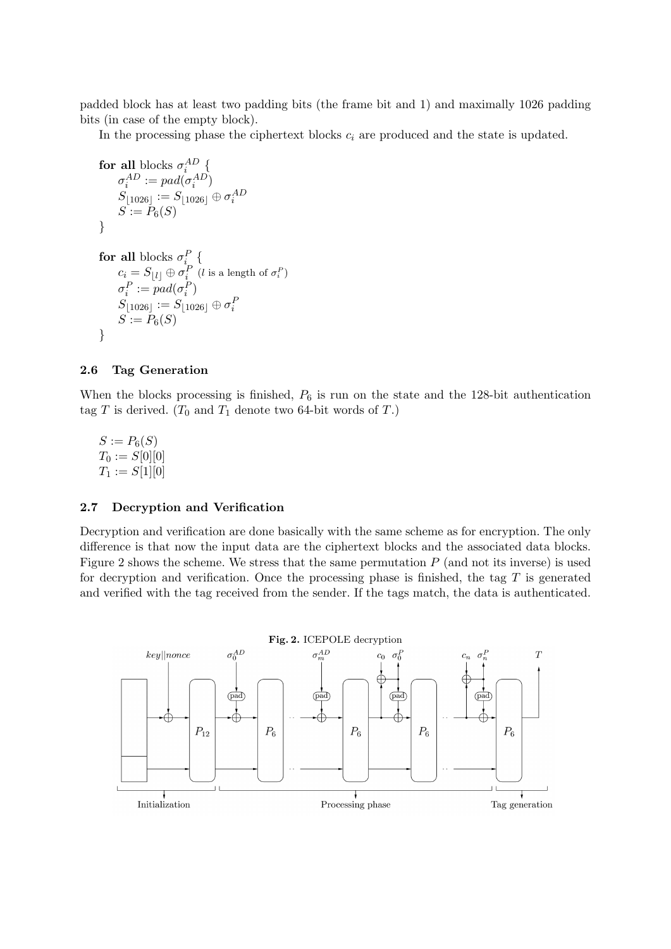padded block has at least two padding bits (the frame bit and 1) and maximally 1026 padding bits (in case of the empty block).

In the processing phase the ciphertext blocks  $c_i$  are produced and the state is updated.

$$
\begin{array}{l} \textbf{for all blocks}\ \sigma_i^{AD} \left\lbrace \right.\\ \sigma_i^{AD} := pad(\sigma_i^{AD})\\ S_{\lfloor 1026 \rfloor} := S_{\lfloor 1026 \rfloor} \oplus \sigma_i^{AD}\\ S := P_6(S) \end{array}
$$

```
for all blocks \sigma_i^P {
c_i = S_{\lfloor l \rfloor} \oplus \sigma^P_i (l is a length of \sigma^P_i)
\sigma_i^P := pad(\sigma_i^P)S_{\lfloor 1026 \rfloor} := S_{\lfloor 1026 \rfloor} \oplus \sigma^F_iS := P_6(S)}
```
### 2.6 Tag Generation

When the blocks processing is finished,  $P_6$  is run on the state and the 128-bit authentication tag T is derived. ( $T_0$  and  $T_1$  denote two 64-bit words of T.)

 $S := P_6(S)$  $T_0 := S[0][0]$  $T_1 := S[1][0]$ 

### 2.7 Decryption and Verification

Decryption and verification are done basically with the same scheme as for encryption. The only difference is that now the input data are the ciphertext blocks and the associated data blocks. Figure 2 shows the scheme. We stress that the same permutation  $P$  (and not its inverse) is used for decryption and verification. Once the processing phase is finished, the tag  $T$  is generated and verified with the tag received from the sender. If the tags match, the data is authenticated.

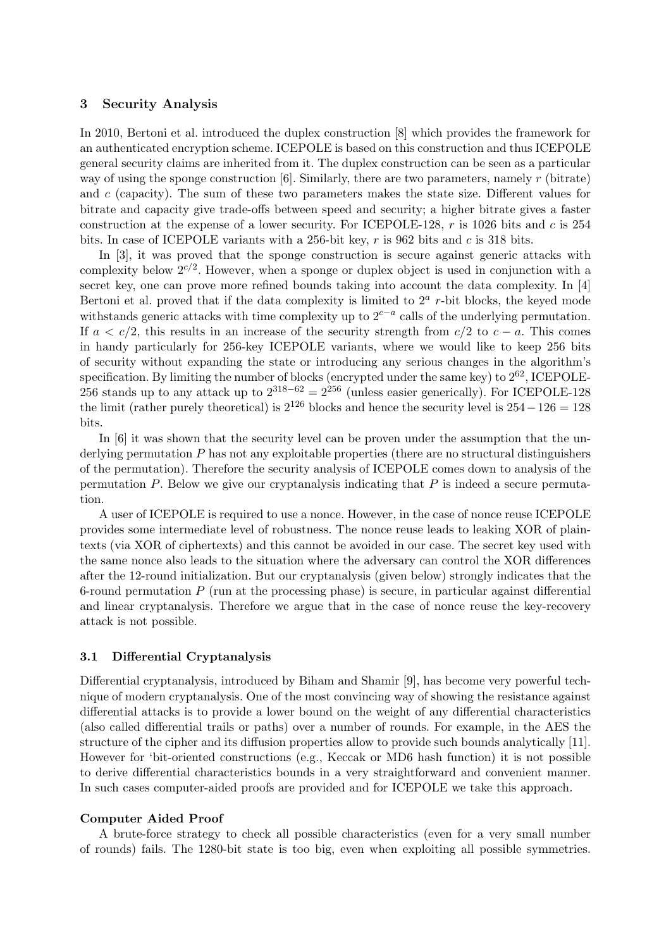### 3 Security Analysis

In 2010, Bertoni et al. introduced the duplex construction [8] which provides the framework for an authenticated encryption scheme. ICEPOLE is based on this construction and thus ICEPOLE general security claims are inherited from it. The duplex construction can be seen as a particular way of using the sponge construction  $[6]$ . Similarly, there are two parameters, namely r (bitrate) and  $c$  (capacity). The sum of these two parameters makes the state size. Different values for bitrate and capacity give trade-offs between speed and security; a higher bitrate gives a faster construction at the expense of a lower security. For ICEPOLE-128,  $r$  is 1026 bits and  $c$  is 254 bits. In case of ICEPOLE variants with a 256-bit key,  $r$  is 962 bits and  $c$  is 318 bits.

In [3], it was proved that the sponge construction is secure against generic attacks with complexity below  $2^{c/2}$ . However, when a sponge or duplex object is used in conjunction with a secret key, one can prove more refined bounds taking into account the data complexity. In [4] Bertoni et al. proved that if the data complexity is limited to  $2<sup>a</sup>$  r-bit blocks, the keyed mode withstands generic attacks with time complexity up to  $2^{c-a}$  calls of the underlying permutation. If  $a < c/2$ , this results in an increase of the security strength from  $c/2$  to  $c - a$ . This comes in handy particularly for 256-key ICEPOLE variants, where we would like to keep 256 bits of security without expanding the state or introducing any serious changes in the algorithm's specification. By limiting the number of blocks (encrypted under the same key) to  $2^{62}$ , ICEPOLE-256 stands up to any attack up to  $2^{318-62} = 2^{256}$  (unless easier generically). For ICEPOLE-128 the limit (rather purely theoretical) is  $2^{126}$  blocks and hence the security level is  $254-126=128$ bits.

In [6] it was shown that the security level can be proven under the assumption that the underlying permutation  $P$  has not any exploitable properties (there are no structural distinguishers of the permutation). Therefore the security analysis of ICEPOLE comes down to analysis of the permutation  $P$ . Below we give our cryptanalysis indicating that  $P$  is indeed a secure permutation.

A user of ICEPOLE is required to use a nonce. However, in the case of nonce reuse ICEPOLE provides some intermediate level of robustness. The nonce reuse leads to leaking XOR of plaintexts (via XOR of ciphertexts) and this cannot be avoided in our case. The secret key used with the same nonce also leads to the situation where the adversary can control the XOR differences after the 12-round initialization. But our cryptanalysis (given below) strongly indicates that the 6-round permutation  $P$  (run at the processing phase) is secure, in particular against differential and linear cryptanalysis. Therefore we argue that in the case of nonce reuse the key-recovery attack is not possible.

#### 3.1 Differential Cryptanalysis

Differential cryptanalysis, introduced by Biham and Shamir [9], has become very powerful technique of modern cryptanalysis. One of the most convincing way of showing the resistance against differential attacks is to provide a lower bound on the weight of any differential characteristics (also called differential trails or paths) over a number of rounds. For example, in the AES the structure of the cipher and its diffusion properties allow to provide such bounds analytically [11]. However for 'bit-oriented constructions (e.g., Keccak or MD6 hash function) it is not possible to derive differential characteristics bounds in a very straightforward and convenient manner. In such cases computer-aided proofs are provided and for ICEPOLE we take this approach.

#### Computer Aided Proof

A brute-force strategy to check all possible characteristics (even for a very small number of rounds) fails. The 1280-bit state is too big, even when exploiting all possible symmetries.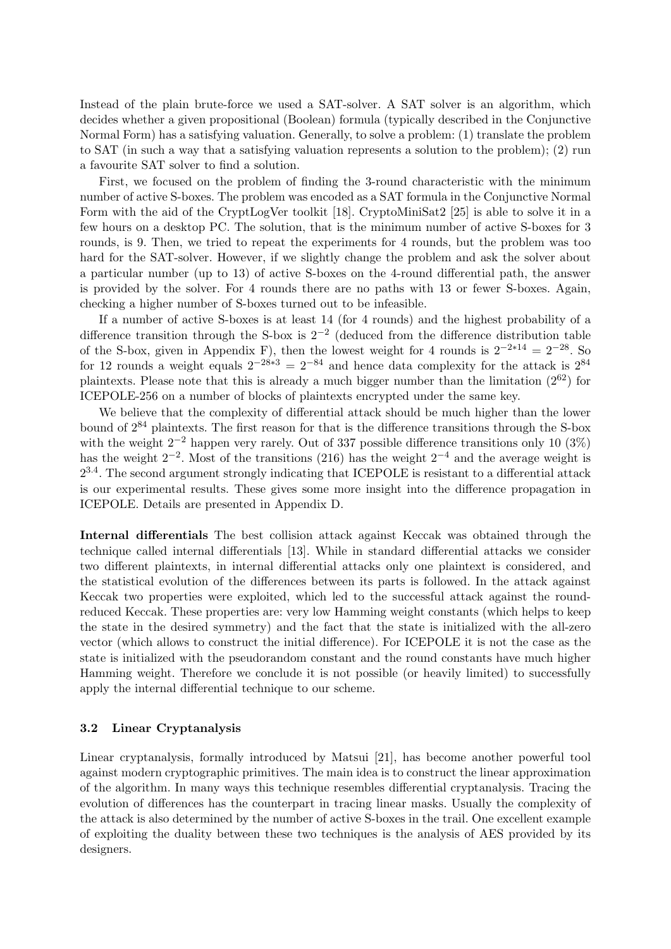Instead of the plain brute-force we used a SAT-solver. A SAT solver is an algorithm, which decides whether a given propositional (Boolean) formula (typically described in the Conjunctive Normal Form) has a satisfying valuation. Generally, to solve a problem: (1) translate the problem to SAT (in such a way that a satisfying valuation represents a solution to the problem); (2) run a favourite SAT solver to find a solution.

First, we focused on the problem of finding the 3-round characteristic with the minimum number of active S-boxes. The problem was encoded as a SAT formula in the Conjunctive Normal Form with the aid of the CryptLogVer toolkit [18]. CryptoMiniSat2 [25] is able to solve it in a few hours on a desktop PC. The solution, that is the minimum number of active S-boxes for 3 rounds, is 9. Then, we tried to repeat the experiments for 4 rounds, but the problem was too hard for the SAT-solver. However, if we slightly change the problem and ask the solver about a particular number (up to 13) of active S-boxes on the 4-round differential path, the answer is provided by the solver. For 4 rounds there are no paths with 13 or fewer S-boxes. Again, checking a higher number of S-boxes turned out to be infeasible.

If a number of active S-boxes is at least 14 (for 4 rounds) and the highest probability of a difference transition through the S-box is  $2^{-2}$  (deduced from the difference distribution table of the S-box, given in Appendix F), then the lowest weight for 4 rounds is  $2^{-2*14} = 2^{-28}$ . So for 12 rounds a weight equals  $2^{-28*3} = 2^{-84}$  and hence data complexity for the attack is  $2^{84}$ plaintexts. Please note that this is already a much bigger number than the limitation  $(2^{62})$  for ICEPOLE-256 on a number of blocks of plaintexts encrypted under the same key.

We believe that the complexity of differential attack should be much higher than the lower bound of 2<sup>84</sup> plaintexts. The first reason for that is the difference transitions through the S-box with the weight  $2^{-2}$  happen very rarely. Out of 337 possible difference transitions only 10 (3%) has the weight  $2^{-2}$ . Most of the transitions (216) has the weight  $2^{-4}$  and the average weight is  $2^{3.4}$ . The second argument strongly indicating that ICEPOLE is resistant to a differential attack is our experimental results. These gives some more insight into the difference propagation in ICEPOLE. Details are presented in Appendix D.

Internal differentials The best collision attack against Keccak was obtained through the technique called internal differentials [13]. While in standard differential attacks we consider two different plaintexts, in internal differential attacks only one plaintext is considered, and the statistical evolution of the differences between its parts is followed. In the attack against Keccak two properties were exploited, which led to the successful attack against the roundreduced Keccak. These properties are: very low Hamming weight constants (which helps to keep the state in the desired symmetry) and the fact that the state is initialized with the all-zero vector (which allows to construct the initial difference). For ICEPOLE it is not the case as the state is initialized with the pseudorandom constant and the round constants have much higher Hamming weight. Therefore we conclude it is not possible (or heavily limited) to successfully apply the internal differential technique to our scheme.

### 3.2 Linear Cryptanalysis

Linear cryptanalysis, formally introduced by Matsui [21], has become another powerful tool against modern cryptographic primitives. The main idea is to construct the linear approximation of the algorithm. In many ways this technique resembles differential cryptanalysis. Tracing the evolution of differences has the counterpart in tracing linear masks. Usually the complexity of the attack is also determined by the number of active S-boxes in the trail. One excellent example of exploiting the duality between these two techniques is the analysis of AES provided by its designers.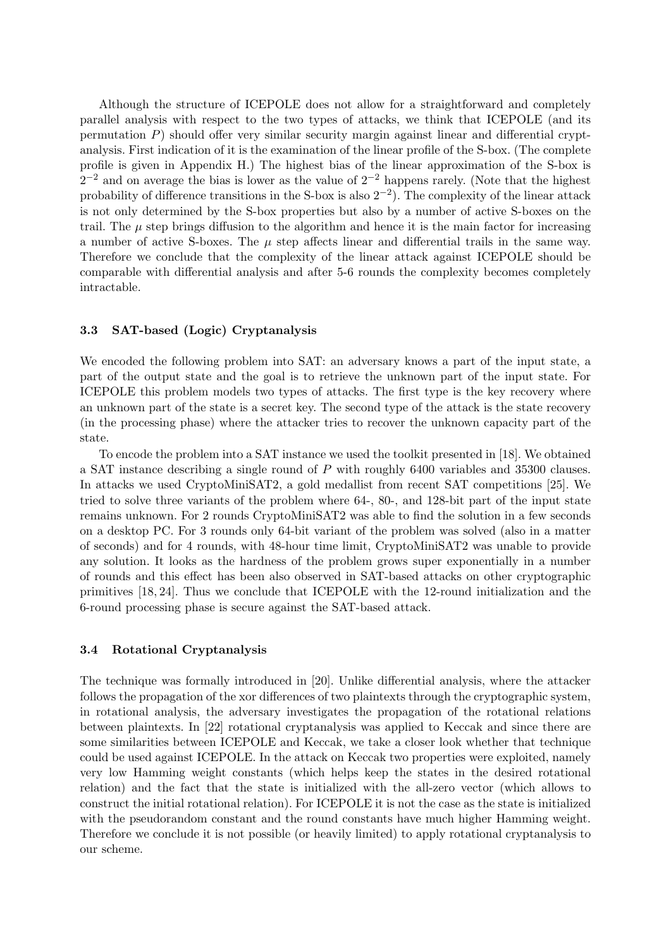Although the structure of ICEPOLE does not allow for a straightforward and completely parallel analysis with respect to the two types of attacks, we think that ICEPOLE (and its permutation  $P$ ) should offer very similar security margin against linear and differential cryptanalysis. First indication of it is the examination of the linear profile of the S-box. (The complete profile is given in Appendix H.) The highest bias of the linear approximation of the S-box is  $2^{-2}$  and on average the bias is lower as the value of  $2^{-2}$  happens rarely. (Note that the highest probability of difference transitions in the S-box is also  $2^{-2}$ ). The complexity of the linear attack is not only determined by the S-box properties but also by a number of active S-boxes on the trail. The  $\mu$  step brings diffusion to the algorithm and hence it is the main factor for increasing a number of active S-boxes. The  $\mu$  step affects linear and differential trails in the same way. Therefore we conclude that the complexity of the linear attack against ICEPOLE should be comparable with differential analysis and after 5-6 rounds the complexity becomes completely intractable.

### 3.3 SAT-based (Logic) Cryptanalysis

We encoded the following problem into SAT: an adversary knows a part of the input state, a part of the output state and the goal is to retrieve the unknown part of the input state. For ICEPOLE this problem models two types of attacks. The first type is the key recovery where an unknown part of the state is a secret key. The second type of the attack is the state recovery (in the processing phase) where the attacker tries to recover the unknown capacity part of the state.

To encode the problem into a SAT instance we used the toolkit presented in [18]. We obtained a SAT instance describing a single round of P with roughly 6400 variables and 35300 clauses. In attacks we used CryptoMiniSAT2, a gold medallist from recent SAT competitions [25]. We tried to solve three variants of the problem where 64-, 80-, and 128-bit part of the input state remains unknown. For 2 rounds CryptoMiniSAT2 was able to find the solution in a few seconds on a desktop PC. For 3 rounds only 64-bit variant of the problem was solved (also in a matter of seconds) and for 4 rounds, with 48-hour time limit, CryptoMiniSAT2 was unable to provide any solution. It looks as the hardness of the problem grows super exponentially in a number of rounds and this effect has been also observed in SAT-based attacks on other cryptographic primitives [18, 24]. Thus we conclude that ICEPOLE with the 12-round initialization and the 6-round processing phase is secure against the SAT-based attack.

#### 3.4 Rotational Cryptanalysis

The technique was formally introduced in [20]. Unlike differential analysis, where the attacker follows the propagation of the xor differences of two plaintexts through the cryptographic system, in rotational analysis, the adversary investigates the propagation of the rotational relations between plaintexts. In [22] rotational cryptanalysis was applied to Keccak and since there are some similarities between ICEPOLE and Keccak, we take a closer look whether that technique could be used against ICEPOLE. In the attack on Keccak two properties were exploited, namely very low Hamming weight constants (which helps keep the states in the desired rotational relation) and the fact that the state is initialized with the all-zero vector (which allows to construct the initial rotational relation). For ICEPOLE it is not the case as the state is initialized with the pseudorandom constant and the round constants have much higher Hamming weight. Therefore we conclude it is not possible (or heavily limited) to apply rotational cryptanalysis to our scheme.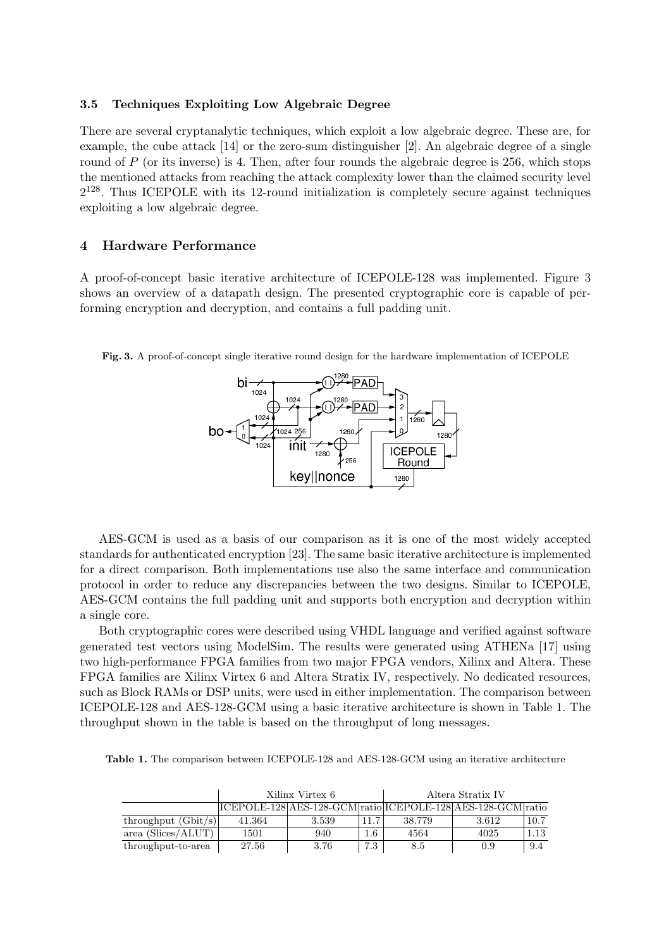### 3.5 Techniques Exploiting Low Algebraic Degree

There are several cryptanalytic techniques, which exploit a low algebraic degree. These are, for example, the cube attack [14] or the zero-sum distinguisher [2]. An algebraic degree of a single round of P (or its inverse) is 4. Then, after four rounds the algebraic degree is 256, which stops the mentioned attacks from reaching the attack complexity lower than the claimed security level  $2^{128}$ . Thus ICEPOLE with its 12-round initialization is completely secure against techniques exploiting a low algebraic degree.

### 4 Hardware Performance

A proof-of-concept basic iterative architecture of ICEPOLE-128 was implemented. Figure 3 shows an overview of a datapath design. The presented cryptographic core is capable of performing encryption and decryption, and contains a full padding unit.

Fig. 3. A proof-of-concept single iterative round design for the hardware implementation of ICEPOLE



AES-GCM is used as a basis of our comparison as it is one of the most widely accepted standards for authenticated encryption [23]. The same basic iterative architecture is implemented for a direct comparison. Both implementations use also the same interface and communication protocol in order to reduce any discrepancies between the two designs. Similar to ICEPOLE, AES-GCM contains the full padding unit and supports both encryption and decryption within a single core.

Both cryptographic cores were described using VHDL language and verified against software generated test vectors using ModelSim. The results were generated using ATHENa [17] using two high-performance FPGA families from two major FPGA vendors, Xilinx and Altera. These FPGA families are Xilinx Virtex 6 and Altera Stratix IV, respectively. No dedicated resources, such as Block RAMs or DSP units, were used in either implementation. The comparison between ICEPOLE-128 and AES-128-GCM using a basic iterative architecture is shown in Table 1. The throughput shown in the table is based on the throughput of long messages.

Table 1. The comparison between ICEPOLE-128 and AES-128-GCM using an iterative architecture

|                       |        | Xilinx Virtex 6 | Altera Stratix IV |        |                                                             |      |  |  |  |  |  |  |
|-----------------------|--------|-----------------|-------------------|--------|-------------------------------------------------------------|------|--|--|--|--|--|--|
|                       |        |                 |                   |        | ICEPOLE-128 AES-128-GCM ratio ICEPOLE-128 AES-128-GCM ratio |      |  |  |  |  |  |  |
| throughput $(Gbit/s)$ | 41.364 | 3.539           |                   | 38.779 | 3.612                                                       | 10.7 |  |  |  |  |  |  |
| area (Slices/ALUT)    | 1501   | 940             | 1.6               | 4564   | 4025                                                        | 1.13 |  |  |  |  |  |  |
| throughput-to-area    | 27.56  | 3.76            | 7.3               | 8.5    | 0.9                                                         | 9.4  |  |  |  |  |  |  |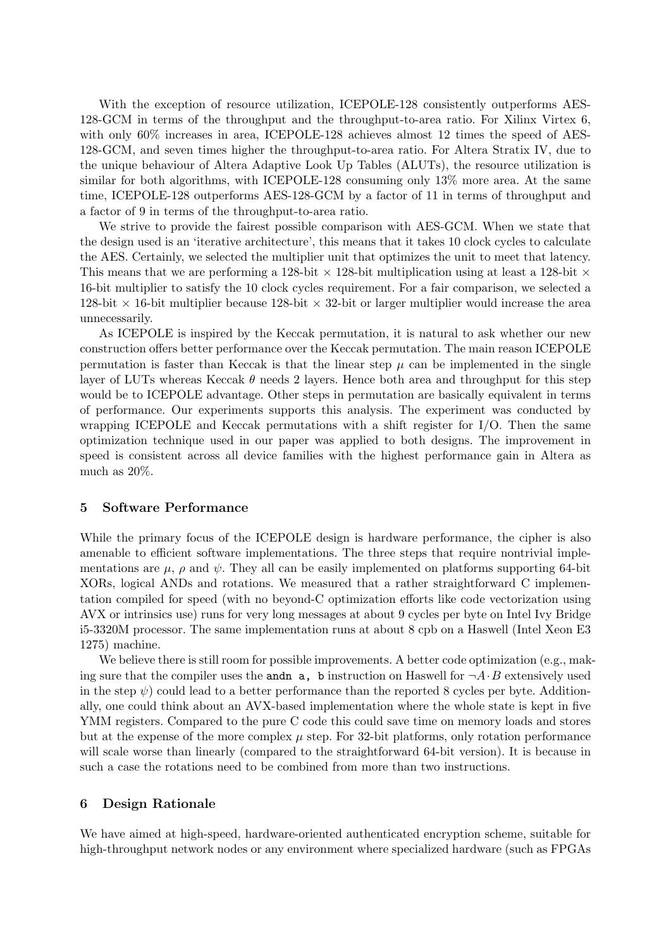With the exception of resource utilization, ICEPOLE-128 consistently outperforms AES-128-GCM in terms of the throughput and the throughput-to-area ratio. For Xilinx Virtex 6, with only 60% increases in area, ICEPOLE-128 achieves almost 12 times the speed of AES-128-GCM, and seven times higher the throughput-to-area ratio. For Altera Stratix IV, due to the unique behaviour of Altera Adaptive Look Up Tables (ALUTs), the resource utilization is similar for both algorithms, with ICEPOLE-128 consuming only 13% more area. At the same time, ICEPOLE-128 outperforms AES-128-GCM by a factor of 11 in terms of throughput and a factor of 9 in terms of the throughput-to-area ratio.

We strive to provide the fairest possible comparison with AES-GCM. When we state that the design used is an 'iterative architecture', this means that it takes 10 clock cycles to calculate the AES. Certainly, we selected the multiplier unit that optimizes the unit to meet that latency. This means that we are performing a 128-bit  $\times$  128-bit multiplication using at least a 128-bit  $\times$ 16-bit multiplier to satisfy the 10 clock cycles requirement. For a fair comparison, we selected a 128-bit  $\times$  16-bit multiplier because 128-bit  $\times$  32-bit or larger multiplier would increase the area unnecessarily.

As ICEPOLE is inspired by the Keccak permutation, it is natural to ask whether our new construction offers better performance over the Keccak permutation. The main reason ICEPOLE permutation is faster than Keccak is that the linear step  $\mu$  can be implemented in the single layer of LUTs whereas Keccak  $\theta$  needs 2 layers. Hence both area and throughput for this step would be to ICEPOLE advantage. Other steps in permutation are basically equivalent in terms of performance. Our experiments supports this analysis. The experiment was conducted by wrapping ICEPOLE and Keccak permutations with a shift register for I/O. Then the same optimization technique used in our paper was applied to both designs. The improvement in speed is consistent across all device families with the highest performance gain in Altera as much as 20%.

#### 5 Software Performance

While the primary focus of the ICEPOLE design is hardware performance, the cipher is also amenable to efficient software implementations. The three steps that require nontrivial implementations are  $\mu$ ,  $\rho$  and  $\psi$ . They all can be easily implemented on platforms supporting 64-bit XORs, logical ANDs and rotations. We measured that a rather straightforward C implementation compiled for speed (with no beyond-C optimization efforts like code vectorization using AVX or intrinsics use) runs for very long messages at about 9 cycles per byte on Intel Ivy Bridge i5-3320M processor. The same implementation runs at about 8 cpb on a Haswell (Intel Xeon E3 1275) machine.

We believe there is still room for possible improvements. A better code optimization (e.g., making sure that the compiler uses the andn a, b instruction on Haswell for  $\neg A \cdot B$  extensively used in the step  $\psi$ ) could lead to a better performance than the reported 8 cycles per byte. Additionally, one could think about an AVX-based implementation where the whole state is kept in five YMM registers. Compared to the pure C code this could save time on memory loads and stores but at the expense of the more complex  $\mu$  step. For 32-bit platforms, only rotation performance will scale worse than linearly (compared to the straightforward 64-bit version). It is because in such a case the rotations need to be combined from more than two instructions.

#### 6 Design Rationale

We have aimed at high-speed, hardware-oriented authenticated encryption scheme, suitable for high-throughput network nodes or any environment where specialized hardware (such as FPGAs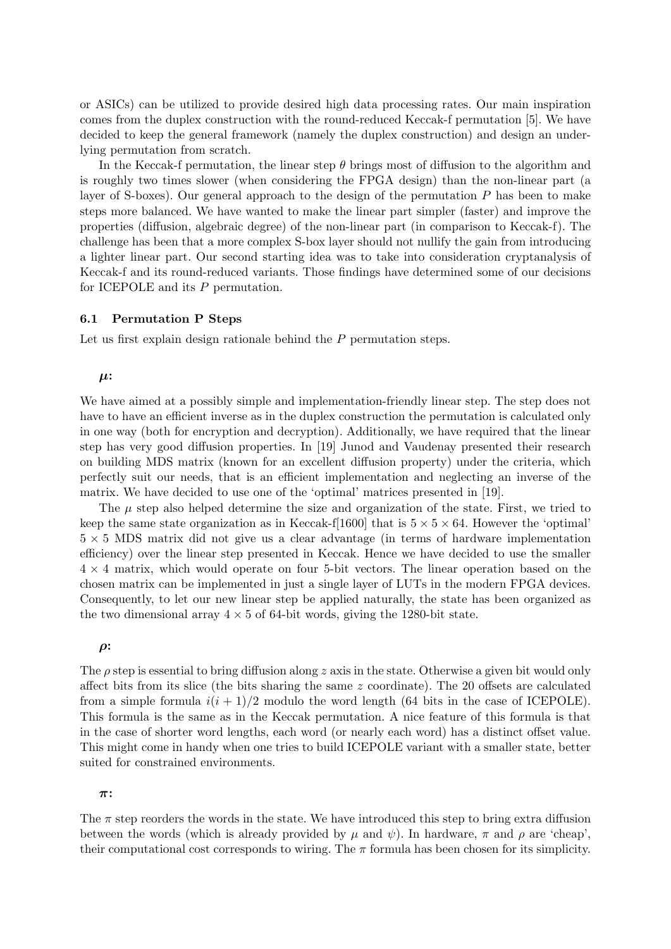or ASICs) can be utilized to provide desired high data processing rates. Our main inspiration comes from the duplex construction with the round-reduced Keccak-f permutation [5]. We have decided to keep the general framework (namely the duplex construction) and design an underlying permutation from scratch.

In the Keccak-f permutation, the linear step  $\theta$  brings most of diffusion to the algorithm and is roughly two times slower (when considering the FPGA design) than the non-linear part (a layer of S-boxes). Our general approach to the design of the permutation  $P$  has been to make steps more balanced. We have wanted to make the linear part simpler (faster) and improve the properties (diffusion, algebraic degree) of the non-linear part (in comparison to Keccak-f). The challenge has been that a more complex S-box layer should not nullify the gain from introducing a lighter linear part. Our second starting idea was to take into consideration cryptanalysis of Keccak-f and its round-reduced variants. Those findings have determined some of our decisions for ICEPOLE and its P permutation.

#### 6.1 Permutation P Steps

Let us first explain design rationale behind the P permutation steps.

### $\mu$ :

We have aimed at a possibly simple and implementation-friendly linear step. The step does not have to have an efficient inverse as in the duplex construction the permutation is calculated only in one way (both for encryption and decryption). Additionally, we have required that the linear step has very good diffusion properties. In [19] Junod and Vaudenay presented their research on building MDS matrix (known for an excellent diffusion property) under the criteria, which perfectly suit our needs, that is an efficient implementation and neglecting an inverse of the matrix. We have decided to use one of the 'optimal' matrices presented in [19].

The  $\mu$  step also helped determine the size and organization of the state. First, we tried to keep the same state organization as in Keccak-f[1600] that is  $5 \times 5 \times 64$ . However the 'optimal'  $5 \times 5$  MDS matrix did not give us a clear advantage (in terms of hardware implementation efficiency) over the linear step presented in Keccak. Hence we have decided to use the smaller  $4 \times 4$  matrix, which would operate on four 5-bit vectors. The linear operation based on the chosen matrix can be implemented in just a single layer of LUTs in the modern FPGA devices. Consequently, to let our new linear step be applied naturally, the state has been organized as the two dimensional array  $4 \times 5$  of 64-bit words, giving the 1280-bit state.

#### $\rho$ :

The  $\rho$  step is essential to bring diffusion along z axis in the state. Otherwise a given bit would only affect bits from its slice (the bits sharing the same  $z$  coordinate). The 20 offsets are calculated from a simple formula  $i(i + 1)/2$  modulo the word length (64 bits in the case of ICEPOLE). This formula is the same as in the Keccak permutation. A nice feature of this formula is that in the case of shorter word lengths, each word (or nearly each word) has a distinct offset value. This might come in handy when one tries to build ICEPOLE variant with a smaller state, better suited for constrained environments.

### π:

The  $\pi$  step reorders the words in the state. We have introduced this step to bring extra diffusion between the words (which is already provided by  $\mu$  and  $\psi$ ). In hardware,  $\pi$  and  $\rho$  are 'cheap', their computational cost corresponds to wiring. The  $\pi$  formula has been chosen for its simplicity.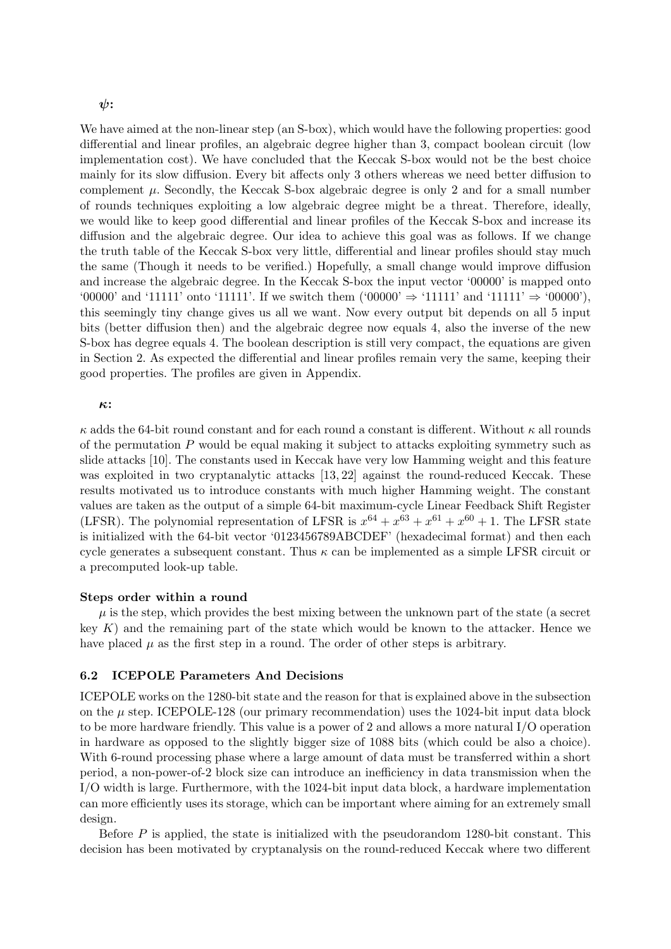### $\psi$ :

We have aimed at the non-linear step (an S-box), which would have the following properties: good differential and linear profiles, an algebraic degree higher than 3, compact boolean circuit (low implementation cost). We have concluded that the Keccak S-box would not be the best choice mainly for its slow diffusion. Every bit affects only 3 others whereas we need better diffusion to complement  $\mu$ . Secondly, the Keccak S-box algebraic degree is only 2 and for a small number of rounds techniques exploiting a low algebraic degree might be a threat. Therefore, ideally, we would like to keep good differential and linear profiles of the Keccak S-box and increase its diffusion and the algebraic degree. Our idea to achieve this goal was as follows. If we change the truth table of the Keccak S-box very little, differential and linear profiles should stay much the same (Though it needs to be verified.) Hopefully, a small change would improve diffusion and increase the algebraic degree. In the Keccak S-box the input vector '00000' is mapped onto '00000' and '11111' onto '11111'. If we switch them  $(00000)$ <sup>'</sup>  $\Rightarrow$  '11111' and '11111'  $\Rightarrow$  '00000'), this seemingly tiny change gives us all we want. Now every output bit depends on all 5 input bits (better diffusion then) and the algebraic degree now equals 4, also the inverse of the new S-box has degree equals 4. The boolean description is still very compact, the equations are given in Section 2. As expected the differential and linear profiles remain very the same, keeping their good properties. The profiles are given in Appendix.

#### κ:

 $\kappa$  adds the 64-bit round constant and for each round a constant is different. Without  $\kappa$  all rounds of the permutation  $P$  would be equal making it subject to attacks exploiting symmetry such as slide attacks [10]. The constants used in Keccak have very low Hamming weight and this feature was exploited in two cryptanalytic attacks [13, 22] against the round-reduced Keccak. These results motivated us to introduce constants with much higher Hamming weight. The constant values are taken as the output of a simple 64-bit maximum-cycle Linear Feedback Shift Register (LFSR). The polynomial representation of LFSR is  $x^{64} + x^{63} + x^{61} + x^{60} + 1$ . The LFSR state is initialized with the 64-bit vector '0123456789ABCDEF' (hexadecimal format) and then each cycle generates a subsequent constant. Thus  $\kappa$  can be implemented as a simple LFSR circuit or a precomputed look-up table.

#### Steps order within a round

 $\mu$  is the step, which provides the best mixing between the unknown part of the state (a secret key  $K$ ) and the remaining part of the state which would be known to the attacker. Hence we have placed  $\mu$  as the first step in a round. The order of other steps is arbitrary.

### 6.2 ICEPOLE Parameters And Decisions

ICEPOLE works on the 1280-bit state and the reason for that is explained above in the subsection on the  $\mu$  step. ICEPOLE-128 (our primary recommendation) uses the 1024-bit input data block to be more hardware friendly. This value is a power of 2 and allows a more natural I/O operation in hardware as opposed to the slightly bigger size of 1088 bits (which could be also a choice). With 6-round processing phase where a large amount of data must be transferred within a short period, a non-power-of-2 block size can introduce an inefficiency in data transmission when the I/O width is large. Furthermore, with the 1024-bit input data block, a hardware implementation can more efficiently uses its storage, which can be important where aiming for an extremely small design.

Before P is applied, the state is initialized with the pseudorandom 1280-bit constant. This decision has been motivated by cryptanalysis on the round-reduced Keccak where two different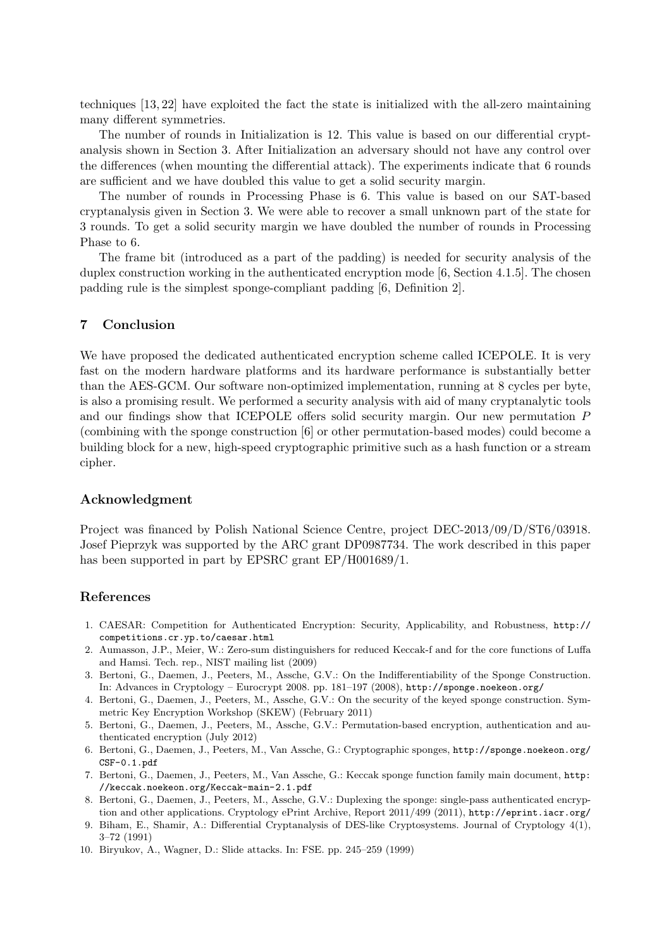techniques [13, 22] have exploited the fact the state is initialized with the all-zero maintaining many different symmetries.

The number of rounds in Initialization is 12. This value is based on our differential cryptanalysis shown in Section 3. After Initialization an adversary should not have any control over the differences (when mounting the differential attack). The experiments indicate that 6 rounds are sufficient and we have doubled this value to get a solid security margin.

The number of rounds in Processing Phase is 6. This value is based on our SAT-based cryptanalysis given in Section 3. We were able to recover a small unknown part of the state for 3 rounds. To get a solid security margin we have doubled the number of rounds in Processing Phase to 6.

The frame bit (introduced as a part of the padding) is needed for security analysis of the duplex construction working in the authenticated encryption mode [6, Section 4.1.5]. The chosen padding rule is the simplest sponge-compliant padding [6, Definition 2].

#### 7 Conclusion

We have proposed the dedicated authenticated encryption scheme called ICEPOLE. It is very fast on the modern hardware platforms and its hardware performance is substantially better than the AES-GCM. Our software non-optimized implementation, running at 8 cycles per byte, is also a promising result. We performed a security analysis with aid of many cryptanalytic tools and our findings show that ICEPOLE offers solid security margin. Our new permutation P (combining with the sponge construction [6] or other permutation-based modes) could become a building block for a new, high-speed cryptographic primitive such as a hash function or a stream cipher.

#### Acknowledgment

Project was financed by Polish National Science Centre, project DEC-2013/09/D/ST6/03918. Josef Pieprzyk was supported by the ARC grant DP0987734. The work described in this paper has been supported in part by EPSRC grant EP/H001689/1.

#### References

- 1. CAESAR: Competition for Authenticated Encryption: Security, Applicability, and Robustness, http:// competitions.cr.yp.to/caesar.html
- 2. Aumasson, J.P., Meier, W.: Zero-sum distinguishers for reduced Keccak-f and for the core functions of Luffa and Hamsi. Tech. rep., NIST mailing list (2009)
- 3. Bertoni, G., Daemen, J., Peeters, M., Assche, G.V.: On the Indifferentiability of the Sponge Construction. In: Advances in Cryptology – Eurocrypt 2008. pp. 181–197 (2008), http://sponge.noekeon.org/
- 4. Bertoni, G., Daemen, J., Peeters, M., Assche, G.V.: On the security of the keyed sponge construction. Symmetric Key Encryption Workshop (SKEW) (February 2011)
- 5. Bertoni, G., Daemen, J., Peeters, M., Assche, G.V.: Permutation-based encryption, authentication and authenticated encryption (July 2012)
- 6. Bertoni, G., Daemen, J., Peeters, M., Van Assche, G.: Cryptographic sponges, http://sponge.noekeon.org/ CSF-0.1.pdf
- 7. Bertoni, G., Daemen, J., Peeters, M., Van Assche, G.: Keccak sponge function family main document, http: //keccak.noekeon.org/Keccak-main-2.1.pdf
- 8. Bertoni, G., Daemen, J., Peeters, M., Assche, G.V.: Duplexing the sponge: single-pass authenticated encryption and other applications. Cryptology ePrint Archive, Report 2011/499 (2011), http://eprint.iacr.org/
- 9. Biham, E., Shamir, A.: Differential Cryptanalysis of DES-like Cryptosystems. Journal of Cryptology 4(1), 3–72 (1991)
- 10. Biryukov, A., Wagner, D.: Slide attacks. In: FSE. pp. 245–259 (1999)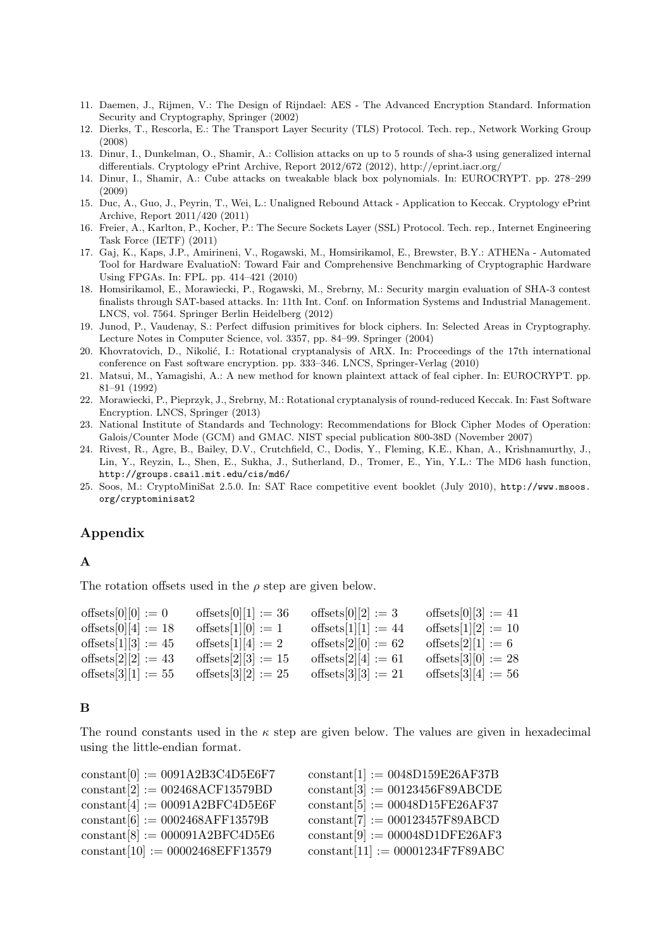- 11. Daemen, J., Rijmen, V.: The Design of Rijndael: AES The Advanced Encryption Standard. Information Security and Cryptography, Springer (2002)
- 12. Dierks, T., Rescorla, E.: The Transport Layer Security (TLS) Protocol. Tech. rep., Network Working Group (2008)
- 13. Dinur, I., Dunkelman, O., Shamir, A.: Collision attacks on up to 5 rounds of sha-3 using generalized internal differentials. Cryptology ePrint Archive, Report 2012/672 (2012), http://eprint.iacr.org/
- 14. Dinur, I., Shamir, A.: Cube attacks on tweakable black box polynomials. In: EUROCRYPT. pp. 278–299 (2009)
- 15. Duc, A., Guo, J., Peyrin, T., Wei, L.: Unaligned Rebound Attack Application to Keccak. Cryptology ePrint Archive, Report 2011/420 (2011)
- 16. Freier, A., Karlton, P., Kocher, P.: The Secure Sockets Layer (SSL) Protocol. Tech. rep., Internet Engineering Task Force (IETF) (2011)
- 17. Gaj, K., Kaps, J.P., Amirineni, V., Rogawski, M., Homsirikamol, E., Brewster, B.Y.: ATHENa Automated Tool for Hardware EvaluatioN: Toward Fair and Comprehensive Benchmarking of Cryptographic Hardware Using FPGAs. In: FPL. pp. 414–421 (2010)
- 18. Homsirikamol, E., Morawiecki, P., Rogawski, M., Srebrny, M.: Security margin evaluation of SHA-3 contest finalists through SAT-based attacks. In: 11th Int. Conf. on Information Systems and Industrial Management. LNCS, vol. 7564. Springer Berlin Heidelberg (2012)
- 19. Junod, P., Vaudenay, S.: Perfect diffusion primitives for block ciphers. In: Selected Areas in Cryptography. Lecture Notes in Computer Science, vol. 3357, pp. 84–99. Springer (2004)
- 20. Khovratovich, D., Nikolić, I.: Rotational cryptanalysis of ARX. In: Proceedings of the 17th international conference on Fast software encryption. pp. 333–346. LNCS, Springer-Verlag (2010)
- 21. Matsui, M., Yamagishi, A.: A new method for known plaintext attack of feal cipher. In: EUROCRYPT. pp. 81–91 (1992)
- 22. Morawiecki, P., Pieprzyk, J., Srebrny, M.: Rotational cryptanalysis of round-reduced Keccak. In: Fast Software Encryption. LNCS, Springer (2013)
- 23. National Institute of Standards and Technology: Recommendations for Block Cipher Modes of Operation: Galois/Counter Mode (GCM) and GMAC. NIST special publication 800-38D (November 2007)
- 24. Rivest, R., Agre, B., Bailey, D.V., Crutchfield, C., Dodis, Y., Fleming, K.E., Khan, A., Krishnamurthy, J., Lin, Y., Reyzin, L., Shen, E., Sukha, J., Sutherland, D., Tromer, E., Yin, Y.L.: The MD6 hash function, http://groups.csail.mit.edu/cis/md6/
- 25. Soos, M.: CryptoMiniSat 2.5.0. In: SAT Race competitive event booklet (July 2010), http://www.msoos. org/cryptominisat2

### Appendix

### A

The rotation offsets used in the  $\rho$  step are given below.

| offsets[0][0] $:= 0$   | offsets[0][1] := 36    | offsets[0][2] $:= 3$  | offsets $[0][3] := 41$ |
|------------------------|------------------------|-----------------------|------------------------|
| offsets[0][4] := 18    | offsets[1][0] $:= 1$   | offsets[1][1] := 44   | offsets[1][2] := 10    |
| offsets[1][3] := 45    | offsets[1][4] $:= 2$   | offsets[2][0] := 62   | offsets[2][1] $:= 6$   |
| offsets $[2][2] := 43$ | offsets[2][3] := 15    | offsets[2][4] $:= 61$ | offsets[3][0] $:= 28$  |
| offsets [3][1] := 55   | offsets [3] [2] : = 25 | offsets[3][3] := 21   | offsets[3][4] $:= 56$  |

### B

The round constants used in the  $\kappa$  step are given below. The values are given in hexadecimal using the little-endian format.

| $\text{constant}[0] := 0091A2B3C4D5E6F7$                  | $constant[1] := 0048D159E26AF37B$                             |
|-----------------------------------------------------------|---------------------------------------------------------------|
| $\text{constant}[2] := 002468 \text{ACF} 13579 \text{BD}$ | $constant[3] := 00123456F89ABCDE$                             |
| $constant[4] := 00091A2BFC4D5E6F$                         | $\text{constant}[5] := 00048\text{D}15\text{FE}26\text{AF}37$ |
| $constant[6] := 0002468AFF13579B$                         | $constant[7] := 000123457F89ABCD$                             |
| $\text{constant}[8] := 000091A2BFC4D5E6$                  | $constant[9] := 000048D1DFE26AF3$                             |
| $constant[10] := 00002468EFF13579$                        | $constant[11] := 00001234F7F89ABC$                            |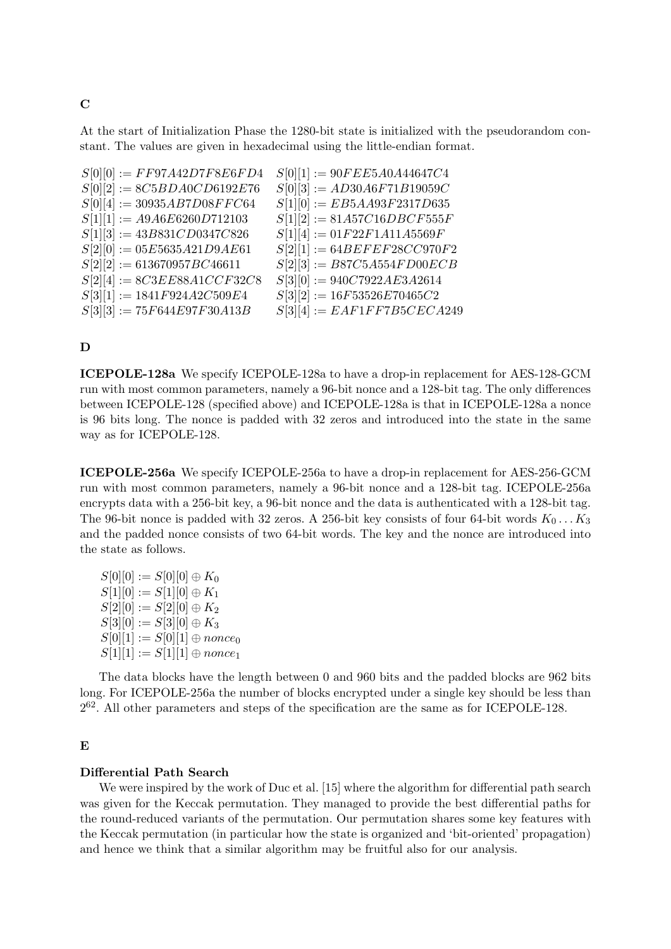At the start of Initialization Phase the 1280-bit state is initialized with the pseudorandom constant. The values are given in hexadecimal using the little-endian format.

| $S[0][0] := FF97A42D7F8E6FD4$  | $S[0][1] := 90FEE5A0A44647C4$   |
|--------------------------------|---------------------------------|
| $S[0][2] := 8C5BDA0CD6192E76$  | $S[0][3] := AD30A6F71B19059C$   |
| $S[0][4] := 30935AB7D08FFC64$  | $S[1][0] := E B5AA93F2317D635$  |
| $S[1][1] := A9A6E6260D712103$  | $S[1][2] := 81A57C16DBCF555F$   |
| $S[1][3] := 43B831CD0347C826$  | $S[1][4] := 01F22F1A11A5569F$   |
| $S[2][0] := 05E5635A21D9A E61$ | $S[2][1] := 64BEFFE F28CC970F2$ |
| $S[2][2] := 613670957BC46611$  | $S[2][3] := B87C5A554FDO0ECB$   |
| $S[2][4] := 8C3EES8A1CCF32C8$  | $S[3][0] := 940C7922AE3A2614$   |
| $S[3][1] := 1841F924A2C509E4$  | $S[3][2] := 16F53526E70465C2$   |
| $S[3][3] := 75F644E97F30A13B$  | $S[3][4] := EAF1FF7B5CECA249$   |

### $\mathbf D$

ICEPOLE-128a We specify ICEPOLE-128a to have a drop-in replacement for AES-128-GCM run with most common parameters, namely a 96-bit nonce and a 128-bit tag. The only differences between ICEPOLE-128 (specified above) and ICEPOLE-128a is that in ICEPOLE-128a a nonce is 96 bits long. The nonce is padded with 32 zeros and introduced into the state in the same way as for ICEPOLE-128.

ICEPOLE-256a We specify ICEPOLE-256a to have a drop-in replacement for AES-256-GCM run with most common parameters, namely a 96-bit nonce and a 128-bit tag. ICEPOLE-256a encrypts data with a 256-bit key, a 96-bit nonce and the data is authenticated with a 128-bit tag. The 96-bit nonce is padded with 32 zeros. A 256-bit key consists of four 64-bit words  $K_0 \ldots K_3$ and the padded nonce consists of two 64-bit words. The key and the nonce are introduced into the state as follows.

 $S[0][0] := S[0][0] \oplus K_0$  $S[1][0] := S[1][0] \oplus K_1$  $S[2][0] := S[2][0] \oplus K_2$  $S[3][0] := S[3][0] \oplus K_3$  $S[0][1] := S[0][1] \oplus nonce_0$  $S[1][1] := S[1][1] \oplus nonce_1$ 

The data blocks have the length between 0 and 960 bits and the padded blocks are 962 bits long. For ICEPOLE-256a the number of blocks encrypted under a single key should be less than  $2^{62}$ . All other parameters and steps of the specification are the same as for ICEPOLE-128.

### E

### Differential Path Search

We were inspired by the work of Duc et al. [15] where the algorithm for differential path search was given for the Keccak permutation. They managed to provide the best differential paths for the round-reduced variants of the permutation. Our permutation shares some key features with the Keccak permutation (in particular how the state is organized and 'bit-oriented' propagation) and hence we think that a similar algorithm may be fruitful also for our analysis.

### C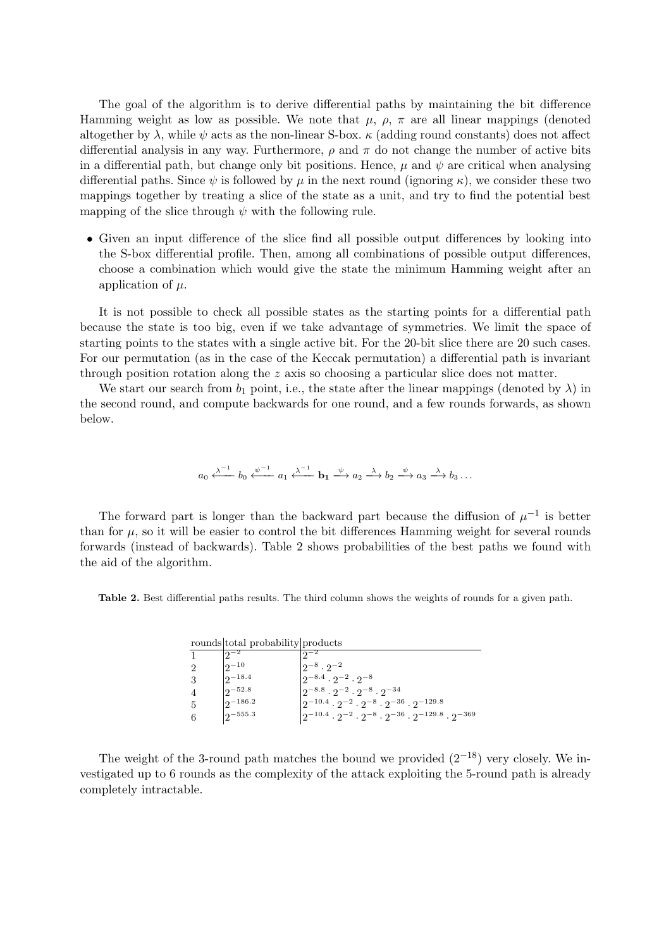The goal of the algorithm is to derive differential paths by maintaining the bit difference Hamming weight as low as possible. We note that  $\mu$ ,  $\rho$ ,  $\pi$  are all linear mappings (denoted altogether by  $\lambda$ , while  $\psi$  acts as the non-linear S-box.  $\kappa$  (adding round constants) does not affect differential analysis in any way. Furthermore,  $\rho$  and  $\pi$  do not change the number of active bits in a differential path, but change only bit positions. Hence,  $\mu$  and  $\psi$  are critical when analysing differential paths. Since  $\psi$  is followed by  $\mu$  in the next round (ignoring  $\kappa$ ), we consider these two mappings together by treating a slice of the state as a unit, and try to find the potential best mapping of the slice through  $\psi$  with the following rule.

• Given an input difference of the slice find all possible output differences by looking into the S-box differential profile. Then, among all combinations of possible output differences, choose a combination which would give the state the minimum Hamming weight after an application of  $\mu$ .

It is not possible to check all possible states as the starting points for a differential path because the state is too big, even if we take advantage of symmetries. We limit the space of starting points to the states with a single active bit. For the 20-bit slice there are 20 such cases. For our permutation (as in the case of the Keccak permutation) a differential path is invariant through position rotation along the  $z$  axis so choosing a particular slice does not matter.

We start our search from  $b_1$  point, i.e., the state after the linear mappings (denoted by  $\lambda$ ) in the second round, and compute backwards for one round, and a few rounds forwards, as shown below.

$$
a_0 \xleftarrow{\lambda^{-1}} b_0 \xleftarrow{\psi^{-1}} a_1 \xleftarrow{\lambda^{-1}} \mathbf{b}_1 \xrightarrow{\psi} a_2 \xrightarrow{\lambda} b_2 \xrightarrow{\psi} a_3 \xrightarrow{\lambda} b_3 \dots
$$

The forward part is longer than the backward part because the diffusion of  $\mu^{-1}$  is better than for  $\mu$ , so it will be easier to control the bit differences Hamming weight for several rounds forwards (instead of backwards). Table 2 shows probabilities of the best paths we found with the aid of the algorithm.

Table 2. Best differential paths results. The third column shows the weights of rounds for a given path.

|                | rounds total probability products |                                                                                     |
|----------------|-----------------------------------|-------------------------------------------------------------------------------------|
|                | $ 2-2 $                           | $2^{-2}$                                                                            |
| $\overline{2}$ | $ 2^{-10}$                        | $2^{-8} \cdot 2^{-2}$                                                               |
| 3              | $2^{-18.4}$                       | $2^{-8.4} \cdot 2^{-2} \cdot 2^{-8}$                                                |
| $\overline{4}$ | $ 2^{-52.8} $                     | $2^{-8.8} \cdot 2^{-2} \cdot 2^{-8} \cdot 2^{-34}$                                  |
| $\frac{5}{2}$  | $2^{-186.2}$                      | $2^{-10.4} \cdot 2^{-2} \cdot 2^{-8} \cdot 2^{-36} \cdot 2^{-129.8}$                |
| -6             | $2^{-555.3}$                      | $2^{-10.4} \cdot 2^{-2} \cdot 2^{-8} \cdot 2^{-36} \cdot 2^{-129.8} \cdot 2^{-369}$ |

The weight of the 3-round path matches the bound we provided  $(2^{-18})$  very closely. We investigated up to 6 rounds as the complexity of the attack exploiting the 5-round path is already completely intractable.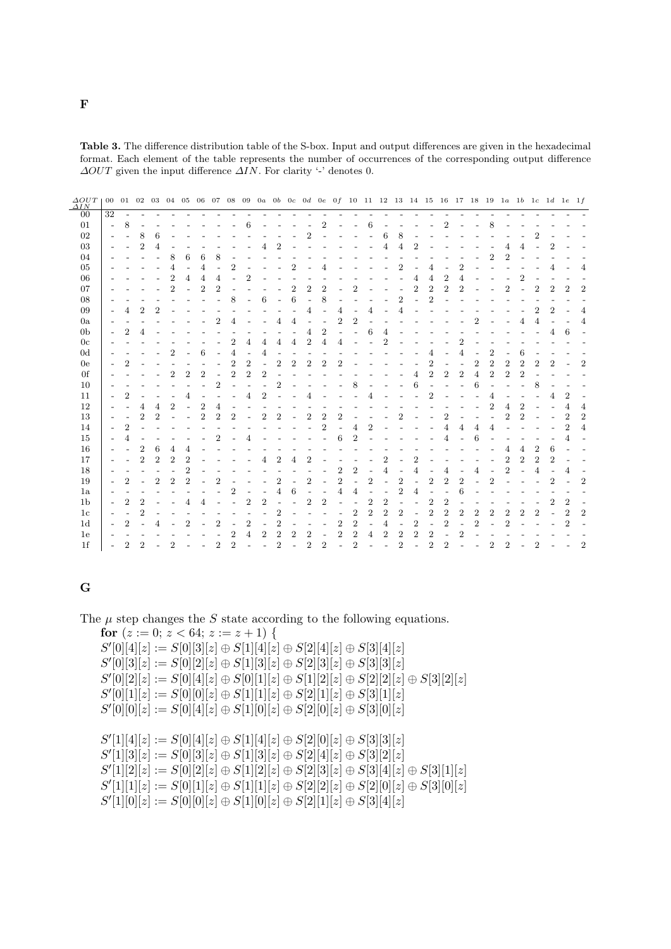|  |                                                                                  |  |  | <b>Table 3.</b> The difference distribution table of the S-box. Input and output differences are given in the hexadecimal |  |
|--|----------------------------------------------------------------------------------|--|--|---------------------------------------------------------------------------------------------------------------------------|--|
|  |                                                                                  |  |  | format. Each element of the table represents the number of occurrences of the corresponding output difference             |  |
|  | $\Delta OUT$ given the input difference $\Delta IN$ . For clarity '-' denotes 0. |  |  |                                                                                                                           |  |

| $\frac{\Delta OUT}{\Delta IN}$ | $00\,$                   | 01 02          |                |                  |                |                |                |                |                |                |                  |                |                          |                  |                |                  |                |                |                |                |                          |                          |                |                  |                |                  |                |                |                |                | 03 04 05 06 07 08 09 0a 0b 0c 0d 0e 0f 10 11 12 13 14 15 16 17 18 19 1a 1b 1c 1d 1e 1f |                |
|--------------------------------|--------------------------|----------------|----------------|------------------|----------------|----------------|----------------|----------------|----------------|----------------|------------------|----------------|--------------------------|------------------|----------------|------------------|----------------|----------------|----------------|----------------|--------------------------|--------------------------|----------------|------------------|----------------|------------------|----------------|----------------|----------------|----------------|----------------------------------------------------------------------------------------|----------------|
| $00\,$                         | $\overline{32}$          |                |                |                  |                |                |                |                |                |                |                  |                |                          |                  |                |                  |                |                |                |                |                          |                          |                |                  |                |                  |                |                |                |                |                                                                                        |                |
| 01                             | $\overline{a}$           | 8              |                |                  |                |                |                |                |                | 6              |                  |                |                          |                  | $\overline{2}$ |                  |                | 6              |                |                |                          |                          | $\overline{2}$ |                  |                | 8                |                |                |                |                |                                                                                        |                |
| 02                             |                          |                | 8              | 6                |                |                |                |                |                |                |                  |                |                          | $\overline{2}$   |                |                  |                |                | 6              | 8              |                          |                          |                |                  |                |                  |                |                |                |                |                                                                                        |                |
| 03                             |                          |                | $\overline{2}$ | 4                |                |                |                |                |                |                |                  | 2              |                          |                  |                |                  |                |                |                |                |                          |                          |                |                  |                |                  | 4              |                |                |                |                                                                                        |                |
| 04                             |                          |                |                |                  | 8              | 6              | 6              | 8              |                |                |                  |                |                          |                  |                |                  |                |                |                |                |                          |                          |                |                  |                | $\overline{2}$   | $\overline{2}$ |                |                |                |                                                                                        |                |
| 05                             |                          |                |                |                  | 4              |                | 4              |                | $\overline{2}$ |                |                  |                | $\overline{2}$           |                  |                |                  |                |                |                | 2              |                          | 4                        |                | $\overline{2}$   |                |                  |                |                |                |                |                                                                                        | 4              |
| 06                             |                          |                |                |                  | $\overline{2}$ | 4              | 4              | 4              |                | 2              |                  |                |                          |                  |                |                  |                |                |                |                | 4                        | 4                        | $\overline{2}$ | 4                |                |                  |                | $\overline{2}$ |                |                |                                                                                        |                |
| 07                             |                          |                |                |                  | $\overline{2}$ |                | $\overline{2}$ | $\overline{2}$ |                |                |                  |                | $\overline{2}$           | $\overline{2}$   | $\overline{2}$ |                  | $\overline{2}$ |                |                |                | $\overline{2}$           | $\overline{2}$           | $\overline{2}$ | $\overline{2}$   |                |                  | $\overline{2}$ |                | $\overline{2}$ | $\overline{2}$ | 2                                                                                      | $\overline{2}$ |
| 08                             |                          |                |                |                  |                |                |                | $\overline{a}$ | 8              | $\overline{a}$ | 6                | $\overline{a}$ | 6                        |                  | 8              |                  |                |                |                | $\overline{2}$ |                          | $\overline{2}$           |                |                  |                |                  |                |                |                |                |                                                                                        |                |
| 09                             |                          | 4              | $\overline{2}$ | $\overline{2}$   |                |                |                |                |                |                |                  |                |                          | 4                |                | 4                |                | 4              |                | 4              |                          |                          |                |                  |                |                  |                |                | $\overline{2}$ | $\overline{2}$ |                                                                                        | $\overline{4}$ |
| 0a                             |                          |                |                |                  |                |                |                | $\overline{2}$ | 4              |                |                  | 4              | 4                        |                  |                | $\overline{2}$   | $\overline{2}$ |                |                |                |                          |                          |                |                  | $\overline{2}$ |                  |                | 4              | 4              |                |                                                                                        | 4              |
| 0 <sub>b</sub>                 |                          | $\overline{2}$ |                |                  |                |                |                |                |                |                |                  |                |                          | 4                | $\overline{2}$ |                  |                | 6              |                |                |                          |                          |                |                  |                |                  |                |                |                |                | 6                                                                                      |                |
| 0 <sub>c</sub>                 |                          |                |                |                  |                |                |                |                | 2              |                | 4                | 4              | 4                        | $\overline{2}$   |                | 4                |                |                |                |                |                          |                          |                |                  |                |                  |                |                |                |                |                                                                                        |                |
| 0 <sub>d</sub>                 |                          |                |                |                  | $\overline{2}$ |                | 6              |                | 4              |                | 4                |                |                          |                  |                |                  |                |                |                |                |                          | 4                        |                | 4                |                | $\overline{2}$   |                | 6              |                |                |                                                                                        |                |
| 0e                             |                          | $\overline{2}$ |                |                  |                |                |                |                | $\overline{2}$ | $\overline{2}$ |                  | $\overline{2}$ | $\overline{2}$           | $\overline{2}$   | $\overline{2}$ | $\mathfrak{D}$   |                |                |                |                |                          | $\overline{2}$           |                |                  | $\overline{2}$ | $\overline{2}$   | $\overline{2}$ | $\overline{2}$ |                | 2              |                                                                                        | $\overline{2}$ |
| 0f                             |                          |                |                |                  | $\overline{2}$ | $\overline{2}$ | $\overline{2}$ |                | $\overline{2}$ | $\overline{2}$ | $\boldsymbol{2}$ |                |                          |                  |                |                  |                |                |                |                | $\overline{4}$           | $\overline{2}$           | $\overline{2}$ | $\boldsymbol{2}$ | $\overline{4}$ | $\boldsymbol{2}$ | $\overline{2}$ | $\overline{2}$ |                |                |                                                                                        |                |
| 10                             |                          |                |                |                  |                |                |                | $\overline{2}$ |                |                |                  | $\overline{2}$ |                          |                  |                |                  | 8              |                |                |                | 6                        | $\overline{a}$           |                |                  | 6              |                  |                |                | 8              |                |                                                                                        |                |
| 11                             |                          | $\overline{2}$ |                |                  |                | 4              |                |                |                | 4              | $\overline{2}$   |                |                          | 4                |                |                  |                | 4              |                |                |                          | $\overline{2}$           |                |                  |                | 4                |                |                |                | 4              | $\overline{2}$                                                                         |                |
| 12                             |                          |                | 4              | 4                | $\overline{2}$ | $\overline{a}$ | $\overline{2}$ | 4              |                |                |                  |                |                          |                  |                |                  |                |                |                |                |                          |                          |                |                  |                | $\overline{2}$   | $\overline{4}$ | $\overline{2}$ |                |                |                                                                                        | 4              |
| 13                             |                          |                | $\overline{2}$ | $\mathfrak{D}$   |                |                | $\overline{2}$ | $\overline{2}$ | $\overline{2}$ |                | $\overline{2}$   | $\overline{2}$ |                          | $\overline{2}$   | $\overline{2}$ | $\overline{2}$   |                |                |                | $\overline{2}$ |                          |                          | $\overline{2}$ |                  |                |                  | $\overline{2}$ | $\overline{2}$ |                |                | 2                                                                                      | 2              |
| 14                             |                          | $\overline{2}$ |                |                  |                |                |                |                |                |                |                  |                |                          |                  | $\overline{2}$ |                  | 4              | $\overline{2}$ |                |                |                          |                          | 4              | 4                | 4              | 4                |                |                |                |                | $\overline{2}$                                                                         | 4              |
| 15                             |                          |                |                |                  |                |                |                | $\overline{2}$ |                |                |                  |                |                          |                  |                | 6                | $\overline{2}$ |                |                |                |                          |                          |                |                  | 6              |                  |                |                |                |                |                                                                                        |                |
| 16                             |                          |                | $\overline{2}$ | 6                | 4              |                |                |                |                |                |                  |                |                          |                  |                |                  |                |                |                |                |                          |                          |                |                  |                |                  | 4              | 4              | 2              | 6              |                                                                                        |                |
| 17                             |                          |                | $\overline{2}$ | $\boldsymbol{2}$ | $\overline{2}$ | $\overline{2}$ |                |                |                |                | 4                | $\overline{2}$ | 4                        | $\overline{2}$   |                |                  |                |                | 2              |                | 2                        |                          |                |                  |                |                  | $\overline{2}$ | $\overline{2}$ | $\overline{2}$ | 2              |                                                                                        |                |
| 18                             |                          |                |                |                  |                | $\overline{2}$ |                |                |                |                |                  |                |                          |                  |                | $\overline{2}$   | $\overline{2}$ |                | 4              |                | 4                        |                          | 4              |                  | 4              |                  | $\overline{2}$ |                | 4              |                |                                                                                        |                |
| 19                             |                          | $\overline{2}$ |                | $\overline{2}$   | $\overline{2}$ | $\overline{2}$ |                | $\overline{2}$ |                |                |                  | $\overline{2}$ |                          | $\overline{2}$   |                | $\overline{2}$   |                | $\overline{2}$ |                | $\overline{2}$ |                          | $\overline{2}$           | $\overline{2}$ | $\overline{2}$   |                | $\overline{2}$   |                |                |                | 2              |                                                                                        | $\overline{2}$ |
| 1a                             |                          |                |                |                  |                |                |                |                | 2              |                |                  | 4              | 6                        |                  |                | 4                | 4              |                |                | $\overline{2}$ | 4                        |                          |                |                  |                |                  |                |                |                |                |                                                                                        |                |
| 1 <sub>b</sub>                 | $\overline{\phantom{a}}$ | $\overline{2}$ | $\overline{2}$ |                  |                |                |                |                |                | $\overline{2}$ | $\overline{2}$   |                |                          | $\boldsymbol{2}$ | $\overline{2}$ |                  | $\overline{a}$ | $\overline{2}$ | $\overline{2}$ |                |                          | $\overline{2}$           | $\overline{2}$ |                  |                |                  |                |                |                | 2              | 2                                                                                      |                |
| 1 <sub>c</sub>                 |                          |                | $\overline{2}$ |                  |                |                |                |                |                |                |                  | $\overline{2}$ |                          |                  |                |                  | $\overline{2}$ | $\overline{2}$ | $\overline{2}$ | $\overline{2}$ |                          | $\overline{2}$           | $\overline{2}$ | $\overline{2}$   | $\overline{2}$ | $\overline{2}$   | $\overline{2}$ | $\overline{2}$ | $\overline{2}$ |                | $\overline{2}$                                                                         | $\overline{2}$ |
| 1 <sub>d</sub>                 |                          | 2              |                |                  |                | $\overline{2}$ |                | $\overline{2}$ |                | $\overline{2}$ |                  | $\overline{2}$ |                          |                  |                | $\boldsymbol{2}$ | $\overline{2}$ | L,             | 4              | ۰              | $\boldsymbol{2}$         | $\overline{\phantom{a}}$ | $\overline{2}$ |                  | $\overline{2}$ |                  | $\overline{2}$ |                |                |                | $\overline{2}$                                                                         |                |
| 1e                             |                          |                |                |                  |                |                |                |                | $\overline{2}$ | 4              | $\overline{2}$   | $\overline{2}$ | $\overline{2}$           | $\overline{2}$   |                | $\overline{2}$   | $\overline{2}$ | 4              | $\overline{2}$ | 2              | $\overline{2}$           | $\overline{2}$           |                | $\overline{2}$   |                |                  |                |                |                |                |                                                                                        |                |
| 1 <sup>f</sup>                 | $\overline{a}$           | $\overline{2}$ | $\overline{2}$ |                  | $\overline{2}$ |                |                | $\overline{2}$ | $\overline{2}$ |                |                  | $\overline{2}$ | $\overline{\phantom{0}}$ | $\overline{2}$   | $\overline{2}$ | $\overline{a}$   | $\overline{2}$ |                |                | $\overline{2}$ | $\overline{\phantom{a}}$ | $\overline{2}$           | $\overline{2}$ |                  |                | $\overline{2}$   | $\overline{2}$ |                | 2              |                |                                                                                        | $\overline{2}$ |

## G

The  $\mu$  step changes the S state according to the following equations. for  $(z := 0; z < 64; z := z + 1)$  {  $S'[0][4][z] := S[0][3][z] \oplus S[1][4][z] \oplus S[2][4][z] \oplus S[3][4][z]$  $S'[0][3][z] := S[0][2][z] \oplus S[1][3][z] \oplus S[2][3][z] \oplus S[3][3][z]$  $S'[0][2][z] := S[0][4][z] \oplus S[0][1][z] \oplus S[1][2][z] \oplus S[2][2][z] \oplus S[3][2][z]$  $S'[0][1][z] := S[0][0][z] \oplus S[1][1][z] \oplus S[2][1][z] \oplus S[3][1][z]$ 

 $S'[0][0][z] := S[0][4][z] \oplus S[1][0][z] \oplus S[2][0][z] \oplus S[3][0][z]$ 

 $S'[1][4][z] := S[0][4][z] \oplus S[1][4][z] \oplus S[2][0][z] \oplus S[3][3][z]$  $S'[1][3][z] := S[0][3][z] \oplus S[1][3][z] \oplus S[2][4][z] \oplus S[3][2][z]$  $S'[1][2][z] := S[0][2][z] \oplus S[1][2][z] \oplus S[2][3][z] \oplus S[3][4][z] \oplus S[3][1][z]$  $S'[1][1][z] := S[0][1][z] \oplus S[1][1][z] \oplus S[2][2][z] \oplus S[2][0][z] \oplus S[3][0][z]$  $S'[1][0][z] := S[0][0][z] \oplus S[1][0][z] \oplus S[2][1][z] \oplus S[3][4][z]$ 

F